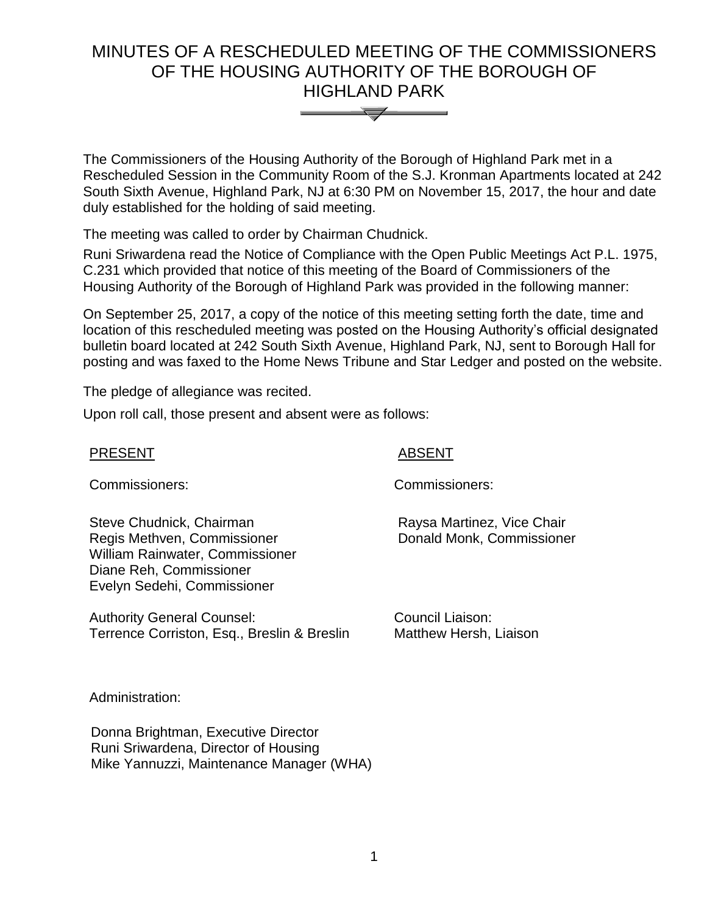# MINUTES OF A RESCHEDULED MEETING OF THE COMMISSIONERS OF THE HOUSING AUTHORITY OF THE BOROUGH OF HIGHLAND PARK



The Commissioners of the Housing Authority of the Borough of Highland Park met in a Rescheduled Session in the Community Room of the S.J. Kronman Apartments located at 242 South Sixth Avenue, Highland Park, NJ at 6:30 PM on November 15, 2017, the hour and date duly established for the holding of said meeting.

The meeting was called to order by Chairman Chudnick.

Runi Sriwardena read the Notice of Compliance with the Open Public Meetings Act P.L. 1975, C.231 which provided that notice of this meeting of the Board of Commissioners of the Housing Authority of the Borough of Highland Park was provided in the following manner:

On September 25, 2017, a copy of the notice of this meeting setting forth the date, time and location of this rescheduled meeting was posted on the Housing Authority's official designated bulletin board located at 242 South Sixth Avenue, Highland Park, NJ, sent to Borough Hall for posting and was faxed to the Home News Tribune and Star Ledger and posted on the website.

The pledge of allegiance was recited.

Upon roll call, those present and absent were as follows:

## PRESENT ABSENT

Commissioners: Commissioners:

Steve Chudnick, Chairman Regis Methven, Commissioner William Rainwater, Commissioner Diane Reh, Commissioner Evelyn Sedehi, Commissioner Raysa Martinez, Vice Chair Donald Monk, Commissioner

Authority General Counsel: Terrence Corriston, Esq., Breslin & Breslin Council Liaison: Matthew Hersh, Liaison

Administration:

 Donna Brightman, Executive Director Runi Sriwardena, Director of Housing Mike Yannuzzi, Maintenance Manager (WHA)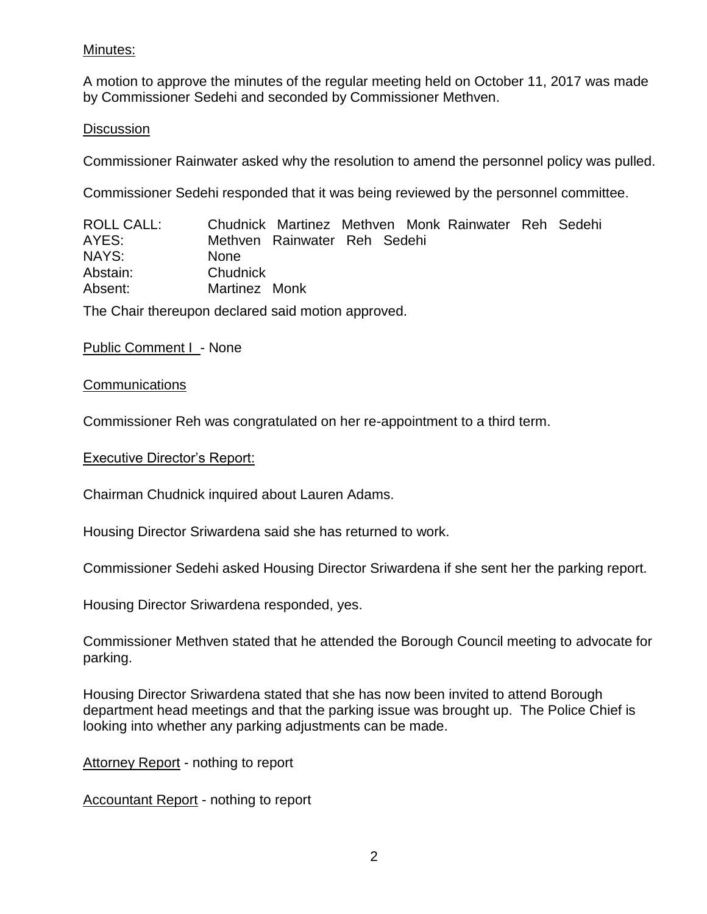# Minutes:

A motion to approve the minutes of the regular meeting held on October 11, 2017 was made by Commissioner Sedehi and seconded by Commissioner Methven.

# **Discussion**

Commissioner Rainwater asked why the resolution to amend the personnel policy was pulled.

Commissioner Sedehi responded that it was being reviewed by the personnel committee.

| <b>ROLL CALL:</b> |               |                              |  | Chudnick Martinez Methven Monk Rainwater Reh Sedehi |  |
|-------------------|---------------|------------------------------|--|-----------------------------------------------------|--|
| AYES:             |               | Methven Rainwater Reh Sedehi |  |                                                     |  |
| NAYS:             | <b>None</b>   |                              |  |                                                     |  |
| Abstain:          | Chudnick      |                              |  |                                                     |  |
| Absent:           | Martinez Monk |                              |  |                                                     |  |

The Chair thereupon declared said motion approved.

# Public Comment I - None

# Communications

Commissioner Reh was congratulated on her re-appointment to a third term.

# Executive Director's Report:

Chairman Chudnick inquired about Lauren Adams.

Housing Director Sriwardena said she has returned to work.

Commissioner Sedehi asked Housing Director Sriwardena if she sent her the parking report.

Housing Director Sriwardena responded, yes.

Commissioner Methven stated that he attended the Borough Council meeting to advocate for parking.

Housing Director Sriwardena stated that she has now been invited to attend Borough department head meetings and that the parking issue was brought up. The Police Chief is looking into whether any parking adjustments can be made.

Attorney Report - nothing to report

Accountant Report - nothing to report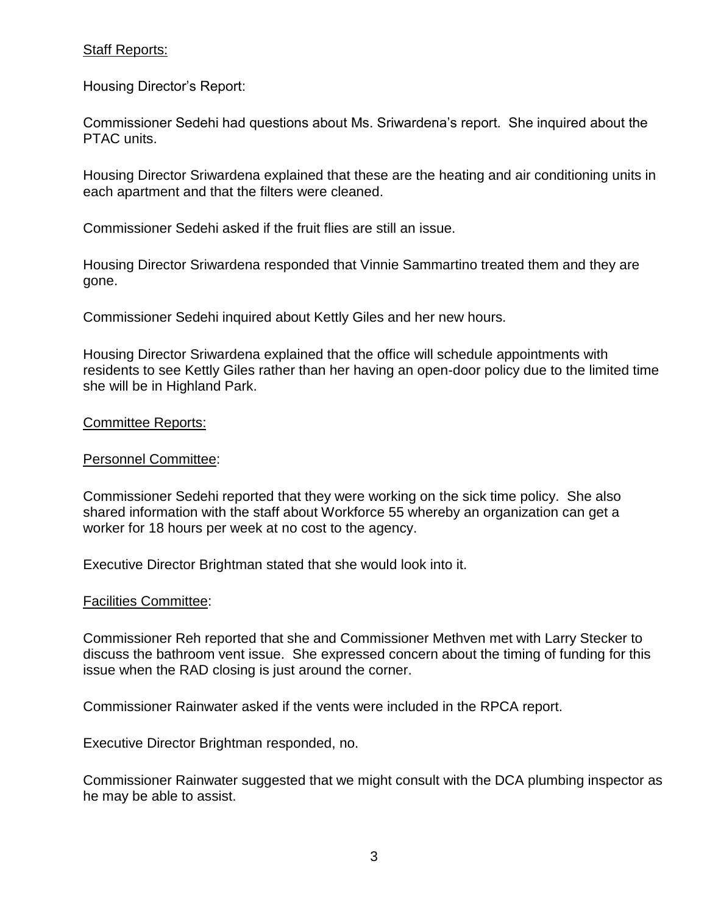# Staff Reports:

Housing Director's Report:

Commissioner Sedehi had questions about Ms. Sriwardena's report. She inquired about the PTAC units.

Housing Director Sriwardena explained that these are the heating and air conditioning units in each apartment and that the filters were cleaned.

Commissioner Sedehi asked if the fruit flies are still an issue.

Housing Director Sriwardena responded that Vinnie Sammartino treated them and they are gone.

Commissioner Sedehi inquired about Kettly Giles and her new hours.

Housing Director Sriwardena explained that the office will schedule appointments with residents to see Kettly Giles rather than her having an open-door policy due to the limited time she will be in Highland Park.

# Committee Reports:

# Personnel Committee:

Commissioner Sedehi reported that they were working on the sick time policy. She also shared information with the staff about Workforce 55 whereby an organization can get a worker for 18 hours per week at no cost to the agency.

Executive Director Brightman stated that she would look into it.

# Facilities Committee:

Commissioner Reh reported that she and Commissioner Methven met with Larry Stecker to discuss the bathroom vent issue. She expressed concern about the timing of funding for this issue when the RAD closing is just around the corner.

Commissioner Rainwater asked if the vents were included in the RPCA report.

Executive Director Brightman responded, no.

Commissioner Rainwater suggested that we might consult with the DCA plumbing inspector as he may be able to assist.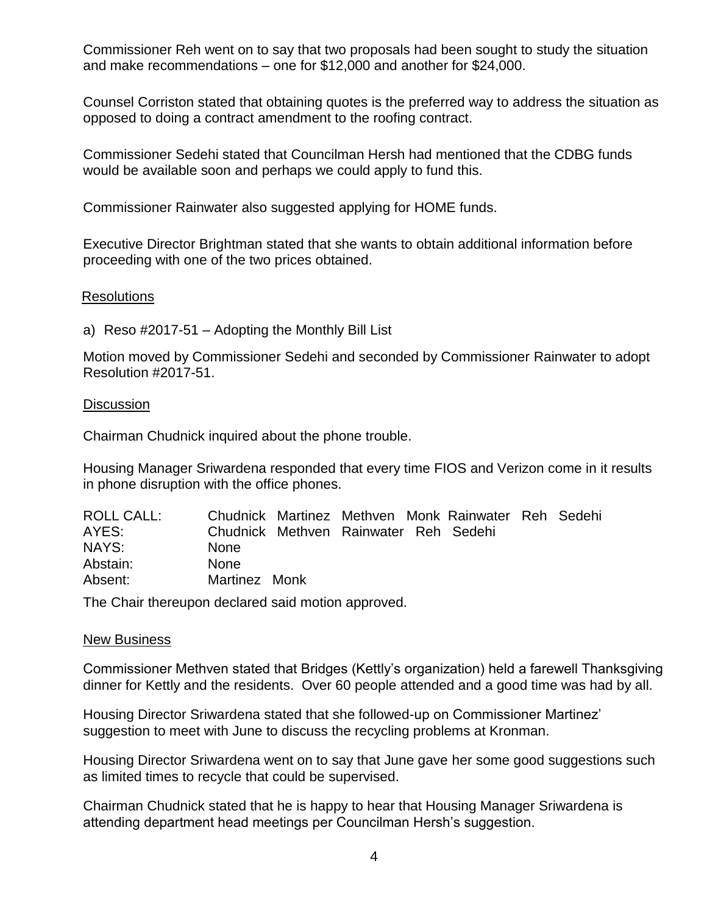Commissioner Reh went on to say that two proposals had been sought to study the situation and make recommendations – one for \$12,000 and another for \$24,000.

Counsel Corriston stated that obtaining quotes is the preferred way to address the situation as opposed to doing a contract amendment to the roofing contract.

Commissioner Sedehi stated that Councilman Hersh had mentioned that the CDBG funds would be available soon and perhaps we could apply to fund this.

Commissioner Rainwater also suggested applying for HOME funds.

Executive Director Brightman stated that she wants to obtain additional information before proceeding with one of the two prices obtained.

#### **Resolutions**

a) Reso #2017-51 – Adopting the Monthly Bill List

Motion moved by Commissioner Sedehi and seconded by Commissioner Rainwater to adopt Resolution #2017-51.

#### **Discussion**

Chairman Chudnick inquired about the phone trouble.

Housing Manager Sriwardena responded that every time FIOS and Verizon come in it results in phone disruption with the office phones.

| <b>ROLL CALL:</b> |                                       |  | Chudnick Martinez Methven Monk Rainwater Reh Sedehi |  |
|-------------------|---------------------------------------|--|-----------------------------------------------------|--|
| AYES:             | Chudnick Methven Rainwater Reh Sedehi |  |                                                     |  |
| NAYS:             | <b>None</b>                           |  |                                                     |  |
| Abstain:          | <b>None</b>                           |  |                                                     |  |
| Absent:           | Martinez Monk                         |  |                                                     |  |

The Chair thereupon declared said motion approved.

#### New Business

Commissioner Methven stated that Bridges (Kettly's organization) held a farewell Thanksgiving dinner for Kettly and the residents. Over 60 people attended and a good time was had by all.

Housing Director Sriwardena stated that she followed-up on Commissioner Martinez' suggestion to meet with June to discuss the recycling problems at Kronman.

Housing Director Sriwardena went on to say that June gave her some good suggestions such as limited times to recycle that could be supervised.

Chairman Chudnick stated that he is happy to hear that Housing Manager Sriwardena is attending department head meetings per Councilman Hersh's suggestion.